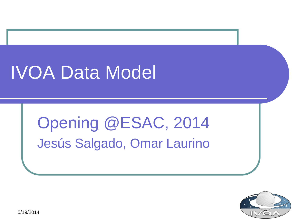# IVOA Data Model

Opening @ESAC, 2014 Jesús Salgado, Omar Laurino

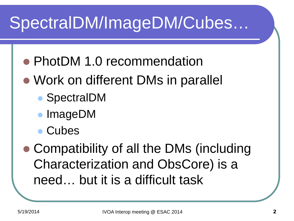## SpectralDM/ImageDM/Cubes…

- PhotDM 1.0 recommendation
- Work on different DMs in parallel
	- SpectralDM
	- ImageDM
	- Cubes

 Compatibility of all the DMs (including Characterization and ObsCore) is a need… but it is a difficult task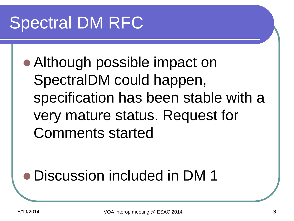## Spectral DM RFC

• Although possible impact on SpectralDM could happen, specification has been stable with a very mature status. Request for Comments started

#### Discussion included in DM 1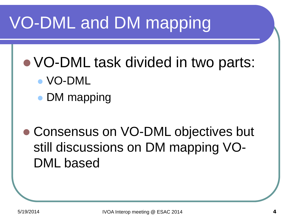#### VO-DML and DM mapping

- VO-DML task divided in two parts:
	- VO-DML
	- DM mapping
- Consensus on VO-DML objectives but still discussions on DM mapping VO-DML based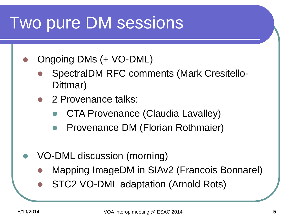#### Two pure DM sessions

- Ongoing DMs (+ VO-DML)
	- SpectralDM RFC comments (Mark Cresitello-Dittmar)
	- 2 Provenance talks:
		- CTA Provenance (Claudia Lavalley)
		- Provenance DM (Florian Rothmaier)
- VO-DML discussion (morning)
	- Mapping ImageDM in SIAv2 (Francois Bonnarel)
	- STC2 VO-DML adaptation (Arnold Rots)